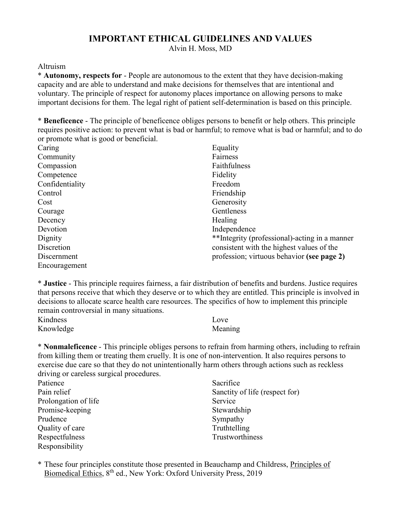## **IMPORTANT ETHICAL GUIDELINES AND VALUES**

Alvin H. Moss, MD

## Altruism

\* **Autonomy, respects for** - People are autonomous to the extent that they have decision-making capacity and are able to understand and make decisions for themselves that are intentional and voluntary. The principle of respect for autonomy places importance on allowing persons to make important decisions for them. The legal right of patient self-determination is based on this principle.

\* **Beneficence** - The principle of beneficence obliges persons to benefit or help others. This principle requires positive action: to prevent what is bad or harmful; to remove what is bad or harmful; and to do or promote what is good or beneficial.

| Caring          | Equality                                      |
|-----------------|-----------------------------------------------|
| Community       | Fairness                                      |
| Compassion      | Faithfulness                                  |
| Competence      | Fidelity                                      |
| Confidentiality | Freedom                                       |
| Control         | Friendship                                    |
| Cost            | Generosity                                    |
| Courage         | Gentleness                                    |
| Decency         | Healing                                       |
| Devotion        | Independence                                  |
| Dignity         | **Integrity (professional)-acting in a manner |
| Discretion      | consistent with the highest values of the     |
| Discernment     | profession; virtuous behavior (see page 2)    |
| Encouragement   |                                               |

\* **Justice** - This principle requires fairness, a fair distribution of benefits and burdens. Justice requires that persons receive that which they deserve or to which they are entitled. This principle is involved in decisions to allocate scarce health care resources. The specifics of how to implement this principle remain controversial in many situations.

| Kindness  | Love    |
|-----------|---------|
| Knowledge | Meaning |

\* **Nonmaleficence** - This principle obliges persons to refrain from harming others, including to refrain from killing them or treating them cruelly. It is one of non-intervention. It also requires persons to exercise due care so that they do not unintentionally harm others through actions such as reckless driving or careless surgical procedures.

| Patience             | Sacrifice                      |
|----------------------|--------------------------------|
| Pain relief          | Sanctity of life (respect for) |
| Prolongation of life | Service                        |
| Promise-keeping      | Stewardship                    |
| Prudence             | Sympathy                       |
| Quality of care      | Truthtelling                   |
| Respectfulness       | Trustworthiness                |
| Responsibility       |                                |

\* These four principles constitute those presented in Beauchamp and Childress, Principles of Biomedical Ethics, 8th ed., New York: Oxford University Press, 2019